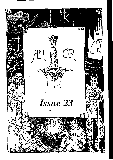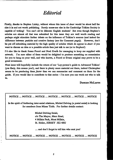# Editorial

Firstly, thanks to Stephen Linley, without whom this issue of  $Anor$  would be about half the size it is and not worth publishing. Surely some-one else in the Cambridge Tolkien Society is capable of writing! You can't all be illiterate English students! But even though Stephen's articles are almost all that was submitted for this issue they are well worth reading and perhaps might stimulate further debate on the influence of Tolkien's sources (and indeed the difference between pastiche and creative fantasy (see the Comment page)). However, don't be put off submitting material by the high quality of articles which do appear in Anor: if you want to discuss an idea or a possible article then just talk to me (or to Stephen!)

I'd also like to thank Susan Foord and Noel Evan's for managing to keep me supplied with artwork. I'm sure either of them would be delighted to produce something on commission for you to hang on your wall, and who knows, a Foord or Evans original may prove to be a good investment.

Next issue will hopefully include the return of our 'Lay-person's guide to Advanced Tolkicn' (yes Gary, this means you!), and there is plenty more material out there, indeed Christopher seems to be producing them *faster* than we can summarise and comment on them for the guide. If you would like to contribute to that series - I'm sure you can work out who to talk to.

Duncan McLaren

NOTICE ••• NOTICE ... NOTICE ... NOTICE •.. NOTICE .•. NOTICE ..• NOTICE

In the spirit of furthering inter-smial relations, Michel Delving (a postal smial) is looking for members from Minas Tirith. For further details contact:

> Michel Delving Smial, c/o The Mayor, Marc Read, 4 Millais Park, Mont Millais, St. Helier, JERSEY JE2 4RU

... and don't forget to tell him who sent you!

NOTICE ... NOTICE ... NOTICE ... NOTICE ... NOTICE ... NOTICE ... NOTICE

ţ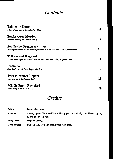# **Contents**

| <b>Tolkien in Dutch</b>                                                     |    |
|-----------------------------------------------------------------------------|----|
| A WorldCon report from Stephen Linley                                       | 4  |
| <b>Smoke Over Mordor</b>                                                    |    |
| Poetical parody by Stephen Linley                                           | 9  |
| Pendle the Dragon by Noel Evans                                             |    |
| Having swallowed his Christmas presents, Pendle wonders what is for dinner? | 10 |
| <b>Tolkien and Haggard</b>                                                  |    |
| Scholarly thoughts on Galadriel from (yes, you guessed it) Stephen Linley   | 11 |
| <b>Comment</b>                                                              |    |
| Amazingly, not all from Stephen Linley!                                     | 17 |
| <b>1990 Puntmoot Report</b>                                                 |    |
| Yes, this too is by Stephen Linley                                          | 19 |
| <b>Middle Earth Revisited</b>                                               |    |
| From the pen of Susan Foord                                                 | 19 |

# Credits

| Editor:       | Duncan McLaren.                                                                                   |  |
|---------------|---------------------------------------------------------------------------------------------------|--|
| Artwork:      | Cover, Lynne Elson and Per Alhberg; pp. 10, and 17, Noel Evans, pp. 4,<br>8, and 16, Susan Foord. |  |
| Dirty work:   | Stephen Linley.                                                                                   |  |
| Type-setting: | Duncan McLaren and Sean Brooke-Hughes.                                                            |  |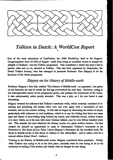

## Tolkien in Dutch: A WorldCon Report �

One of the main attractions of ConFiction, the 1990 WorldCon, held in the Hague's Congressgebow from 23-27th of August - aside from being an excellent excuse to sample the delights of Holland - was the Tolkien programme. This constituted a whole day (and a bit) of panels, talks and so on, devoted to Tolkien. This had been organised by Unquendor, the Dutch Tolkicn Society, who had managed to persuade Professor Tom Shippcy to be Ute keystone of the whole programme.

## Shippey on the History of Middle-earth

Professor Shippey's first talk, entitled 'The History of Middle-earth - an appraisal', was given on the Saturday (so that he would not feel too overworked the next day). However, owing to the indecipherable nature of the programme guide, and perhaps the remoteness of the venue, it was unfortunately rather poorly attended. This was a pity, as I for one found it most interesting.

Shippcy stressed the influence that Tolkien's academic work, which routinely consisted of rereading and pondering old stories often over and over again with a succession of new students, had on his creative writing. In this talk he began by discussing the notion of  $deph$ , particularly with reference to oral traditions, which is to say the feeling that there are many ages and layers of story-telling lying behind any extant, and relatively recent, written version of a story which, as is the case with some German ballads, may be over fifteen hundred years old. This remains the case whatever the literary merits of a given written version. He thus created for himself an opportunity to reply to Christopher Tolkien's comments in Ute Foreword to The Book of Lost Tales I about Shippey's discussion (in his excellent book The Road to Middle-earth) of this theme in relation to The Silmarillion - and to make a bid for a second edition (Hear! Hear! - Author.)

Turning to the History of Middle-earth series, Shippey considered three questions. Firstly, what Tolkien was trying to do in the first place; secondly what he was trying to do in the continual re-writing of his stories; and thirdly what he thought he was doing.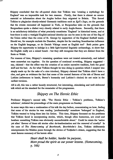Shippey concluded that the oft-quoted claim that Tolkien was 'creating a mythology for England' was an impossible task for two reasons. Firstly, that there is almost no source material or information about the Angles before they migrated to Britain. This forced Tolkien to plagiarize closely-related Germanic traditions such as *Egil's Saga*, on the grounds that the events recounted all happened in York, or Burgundian tales on the grounds that Burgundians spoke a dialect very closely related to early Anglo-Saxon. Secondly, that there is no satisfactory definition of what precisely constitutes 'England' in historical terms, and at best there is only a vestigial English national identity (as can be seen in the use of the flag of the Union rather than the cross of St. George by supporters of the England football team). Should we, for example exclude the Danelaw, despite the far reaching Scandinavian influence on the English language, or do Danish Vikings count as English too? Both points gave Shippey the opportunity to indulge in a little light-hearted linguistic archaeology, to show that the English really are a mixed bunch - but they still recognise that they are distinct from the Scots or Welsh.

For reasons of time, Shippey's remaining questions were not treated extensively, and indeed were somewhat run together. On the question of continual re-writing, Shippey suggested nay, claimed - that the effect was the creation of an entire narrative tradition, both the good stuff and the bad. As for what Tolkien thought he was doing (a question which I suspect was simply made up for the sake of a nice tricolon), Shippey claimed that Tolkien didn't have a clue, and gave as evidence the fact that some of the central features of the tale of Beren and Luthien (references to hands, Beren's humanity and Luthien's choice) do not exist in the earliest versions.

All in all, this was a rather loosely structured, but interesting, stimulating and well delivered talk which set the standard for the remainder of the programme.

## Shippey on The Heroic Ethic

Professor Shippey's second talk; 'The Heroic Ethic - Tolkien's problems, Tolkien's solutions', initiated the proceedings of the main programme on Sunday.

In some ways this was a continuation of his talk the day before, concentrating on how, feeling that some of the stories he was reading 'professionally' somehow 'belonged' to England, Tolkien wanted to bring them into his fiction. This time, Shippey focussed on the problems that Tolkien faced in incorporating stories, which, though often humorous, are cruel and heathen: something Tolkien was obviously uncomfortable about.<sup>1</sup> Could he retain the 'native yet alien' flavour of these old stories after de-heathenisation and the removal of cruelty? In the case of The Home-coming of Beorhtnoth, Beorhthelm's Son, Tolkien deliberately misrepresents the Maldon poem through the device of Torthelm's dream, suggesting that the most famous summary of the heroic ethic:

> Heart shall be bolder, harder be purpose, More proud the spirit as our power lessens. (Homecoming, p. 166)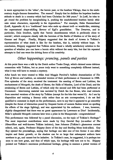is more appropriate to the 'other', the heroic past, or the heathen Vikings, than to the ninthcentury Angto-saxons themselves. The reason? Simply that he dislikes the hopeless heathen attitude to death in a country which had been Christian for 300 years.<sup>2</sup> In LotR, he tries to get round the problem by marginalising it, pushing the unadulterated heathen heroic ethic onto minor characters, especially in the Appendices.<sup>3</sup> For example, Helm Hammerhand (LotR, Appendix A) is a 'traditional' hero who ends up almost troll- or wraith-like, retaining the supernatural shape-shifting flavour of Egil's grandfather. The Dwarves, and in particular, Dain Ironfoot, typify that 'heroic dauntlessness which is perilously close to suicide', which compares closely with the heroism of the Battle of Maldon or of the story of Gunnar and Hogni. Finally, Shippey suggested that the death of Arwen is Tolkien's representation of what death is like for the heathen, that is, entirely without hope. In conclusion, Shippey suggested that Tolkien never found a wholly satisfactory solution to the question of whether you can have a heroic ethic without the nasty bits, but that his repeated attempts to find one were the driving force of his creativity.

## Other happenings: prancing, panels and parties

At this point there was a talk by the Dutch author Tonke Dragt, which claimed some dubious connection with Tolkien, but as yours truly went to something completely different instead, what it was will have to remain a mystery.

After lunch we were treated to Mike And Maggie Percival's balletic dramatisation of The Tale of Beren and Luthien, an extended version of their performance at Oxonmoot in 1988. Five episodes of the story received the treatment: the meeting of Beren and Luthien; the enchantment of Morgoth; the death of Beren; the Halls of Mandos, Lord of the Dead; and the awakening of Beren and Luthien, of which only the second and fifth had been petformed at Oxonmoot. Intervening material was narrated by Dutch fan Jan Bosse, who read extracts from assorted versions of the story by Tolkien {except for the bits that weren't!). As I am by disposition and training a literary critic rather than an arts correspondent, I do not feel qualified to comment in depth on the performance, save to say that it appeared to go smoothly {despite the threat of distraction posed by frequent bursts of camera flashes intent on spoiling the effects of the stage lighting), and was appreciated by the. audience. I was, however, slightly disappointed that there was no guest appearance by Lawrence as Dior! Incidentally, Mike's splendid Morgoth costume later won a prize in the Masquerade - congratulations!

This performance was followed by a panel discussion, on the topic of Tolkien's Heritage.<sup>4</sup> The most important contributions were made by Guy Gavriel Kay {co-author of The Sibnarillion and well-known Tolkien imitator), Jane Johnson {Tolkien's glamorous current editor), and, again, Professor Shippey {hero of the day and Sterling Moss look-alike). Guy Kay opened the proceedings, saying that heritage can take one of two forms: it can either inspire and foster growth; or the shadow can be so large that subsequent authors have nowhere to go, and cannot but be imitative. In Tolkien's case, he suggested, it is perhaps too soon to see how great, and thus of which type, his heritage will turn out to be. Shippey pointed out Tolkien's enormous professional heritage, giving in essence a potted version of

6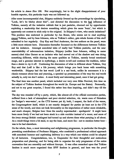his article in Amon Hen 100. Not surprisingly, but to the slight disappointment of your humble reporter, this particular topic was not followed up.

· After some inconsequential chat, Shippey suddenly livened up the proceedings by ejaculating, "Look, let's be bitchy about this!", and directed the discussion to the bad influence of Tolkien, namely all the imitative rubbish that is just pastiche, churned out by opportunists exploiting a readership that desires something which gives the same 'buzz', but which is apparently not content to stick only to the original. In Shippey's view, who needs imitations? This position was endorsed in particular by Jan Bosse, who seems not to read anything except Tolkien, and by Jane Johnson, who as Tolkien's editor, gets whole forests of this stuff submitted to her regularly. Guy Kay and Paul Anderson, the two authors on the panel, were a little more reticent here. Discussion thereafter focussed on the differences between Tolkien and his imitators. Amongst anecdotal tales of really bad Tolkien pastiche, and the near unavoidability of subconscious imitation, Shippey (unlike Jane Johnson, willing to name names) cited Alan Garner as an imitator who had moved out of the shadow and was doing something different, while sharing the same qualities as Tolkien, namely broad emotional range, and a genuine interest in mythology, a desire re-tell and continue the tradition, rather than a desire to rip it off. Continuing the discussion of what is different about Tolkien, Guy Kay said that  $LoiR$  is like a life journey, which brings you back home with something worthwhile. Shippey had the last word: LotR is a sad book, unlike its successors it is a classic romance about loss and yearning, a speeded up presentation of the way the real world actually is, only we don't notice. A most lively and interesting panel, once it had got going.

The fmal item was another panel, which included our very own Mike Percival, this time on the subject of Tolkien fandom throughout the world (ie. Europe and the States). Personally, and not to my great surprise, I found this rather less than inspiring, and didn't stay till the end.

The day was rounded off by a party, which, like almost all of the official convention parties, suffered from a lack of atmosphere and poor alcohol selection, viz. warm cans of Heineken (or 'badger's wee-water', as the CTS brewer put it); both, I suspect, the fault of the venue, the Congressgebow itself, which is not exactly designed for parties (at least not in the CTS sense of the word), and does not look favourably on the importation of rather more drinkable, and much cheaper, Belgian beer from the nearby supermarket- spoilsports! It might have been more lively if we had not been stuck in a side corridor instead of a room; and more of the (very strong) British contingent had turned up and shown them what partying is all about. As a result things were a bit staid, to say the least, and more fun - not to mention better beer was to be had elsewhere.

On the whole, then, a most interesting and enlightening programme, in particular the thoughtprovoking contributions of Professor Shippey, who combin� a professional critical approach with anecdotal humour and captivating delivery in a way which one wishes could be adopted by all lecturers. Congratulations, too, to Unquendor for their thoughtful and meticulous preparation and planning, and for being able to organise the only programme of the entire convention that ran smoothly and without hiccups. It was often remarked upon that Tolkien fandom is much more organised than SF/F fandom in general, and here was the proof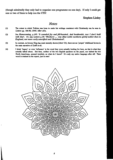(though admittedly they only had to organise one programme on one day). If only I could get one or two of them to help run the CTS!

Stephen Linley

## **Notes**

- (1) The extent to which Tolkien was keen to make his writings consistent with Christianity can be seen in Letters pp. 188-96; 234ff. inter alia.
- (2) See Homecoming, p.167: 'It sounded fey and fell-hearted, And heathenish, too: I don't hold with that'. Cf. also Letters  $p.56$ : 'Nowhere  $\ldots$  was fthat noble northern spiritl nobler then in England, nor more early sanctified and Christianised'.
- (3) In contrast, as Jeremy King has most recently shown (Anor 21), there are no 'proper' traditional heroes in the main narrative of LotR at all.
- (4) I think 'legacy' or even 'influence' is the word they were actually looking for here, as that is what they actually talked about. But then, neither of the two English apeakers on the panel, nor indeed the two North Americans, seemed troubled, so what do I know? It's only my native language after alli Their word is retained in the report, just in case!

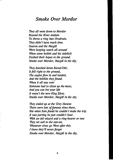## Smoke Over Mordor

They all went down to Mordor Beyond the River Anduin To throw a ring into Orodruin, They didn't have much time. Sauron and the Nazgat Were keeping watch all around When some hobbit and his sidekick Dashed their hopes to the ground. Smoke over Mordor, Nazgul in the sky.

They knocked down Barad-Dûr, It fell right to the ground, 7he eagles flew in and landed, And the hobbits they found. When it all was over Someone had to clean up the mess, And you can bet your life It wasn't the new King Eless. Smoke over Mordor, Nazgul in the sky.

They ended up at the Grey Havens There were lots of famous elves there, But when Sam found he couldn't make the trip It was parting he just couldn't bear. With an old wizard and a ring-bearer or two They set sail to the sun-set, Whenever elves go West after this I know they'll never forget Smoke over Mordor, Nazgul in the sky.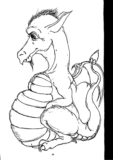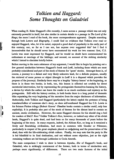# Tolkien and Haggard: Some Thoughts on Galadriel

When reading H. Rider Haggard's She recently, I came across a passage which was not only extremely powerful in itself, but also similar in certain details to a passage in The Lord of the Rings; the more I read of the book, the more correspondences appeared. Despite searching through both Letters and Biography, I could find no evidence that Tolkicn ever read or enjoyed Haggard, who, let it be noted, enjoyed a good deal of popularity in the early part of this century; nor, so far as I can see, has anyone ever suggested this<sup>1</sup> but I find it inconceivable that he should never have encountered his work for two reasons: first, C.S. Lewis was most impressed by Haggard, and he would no doubt have communicated his enthusiasm at meetings of the Inklings; and second, on account of the striking similarity which I intend to elucidate briefly below.

Before moving to the main substance of my argument, I would like to begin by pointing out a few general similarities between Haggard's book and LotR, including those which are most probably coincidental and part of the stock of themes for 'quest' stories. Amongst these is, of course, a journey to a distant and very likely unknown land, for a definite purpose, usually the retrieval of some person or object (thought in  $LoiR$  it is a disposal which provides the purpose of the journey). Similarly there may be a lengthy 'history lesson' at the beginning, as there is in these two books; in both, too, this lesson is effected not crudely by direct narratorial intervention, but by representing the protagonists themselves learning the history, a device by which the author can leave the reader in as much confusion and mystery as the protagonists. Still with the history section, in both books there is a long period of domestic bliss separating the very beginning of the narrative from the major disclosure of information. Authorially, both Tolkicn and Haggard (particularly the latter) exploit the pretence of being translator/editor of someone else's story, as does self-confessed Haggard fan C.S. Lewis in his Science Fiction trilogy (Robert Graves' Claudius books contain a similar motif, only less explicitly). It is probably also part of the stock of themes for the distant land to contain an ancient, exotic civilization. However, the name Haggard chooses for his should ring a bell for readers of BoLT: Kor.<sup>2</sup> Unlike Tolkien's Kor, however, or indeed any other of his elvish lands, Haggard's is quite dead, and had been so for many thousands of years before the beginning of the story. In many respects, indeed, the African Kor, so long as it remained a lively and flourishing civilization, had more in common with Gondor or Numenor, particularly in respect of the great emphasis placed on em�alming and the preservation of the dead, than with the life-celebrating elvish culture. Finally, we may note that the party in She is led blindfold to its final desrination, and not without some objection, just as the eight remaining walkers are led through Lothlorien to Ccrin Amroth.

t

Ì۱

 $|\bm{l}|$ ;

> The main comparison I wish to draw is between Ayesha. She of Haggard's book, and Galadriel, who is strikingly reminiscent of the former, both in terms of similarities and, perhaps more significanlly, of differences. There arc two main features of the initial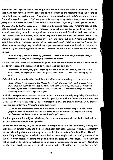encounter with Ayesha which first caught my eye and made me think of Galadriel. In the first place both have a powerful gaze, the effect of which on the recipient being the feeling of being laid bare or psychologically 'denuded'. It is conceivable that Holly's account of how he felt under Ayesha's gaze, 'I felt the gaze of the watching being sinking through and through me, filling me with a nameless terror<sup>13</sup>, lies behind Sam's words, 'I felt as if I hadn't got nothing on ... She seemed to be looking inside me  $\ldots$ . There is a difference here, too. Ayesha's gaze is only able to search out the other's heart, whereas Galadriel also has the power to suggest. The second particularly notable correspondence is that Ayesha and Galadriel both have mirrors, viz. basins filled with water, with which they and others can view the outside world. The working of each is ascribed to magic by Holly and Sam, but both Ayesha and Galadriel rebuff this notion. Galadriel claims not to 'understand clearly' what is meant by 'magic', but allows that its workings may be called 'the magic of Galadriel' (note that the mirror seems to be activated by her breathing upon its waters}, whereas the too rational Ayesha has the following to say:

"It is no magic, that is a dream of ignorance. There is no such thing as magic, though there is such a thing as a knowledge of the secrets of Nature."

As with the gaze, there is a difference in power between the mirrors of each: Ayesha claims not to have learned the full secret of its working, and can only show:

"what thou wilt of the past, if it be anything that has to do with this country and with what I have known, or anything that thou, the gazer, hast known  $\ldots$  I can read nothing of the future. •

Galadriel's mirror, on the other hand, is not at all dependent on the gazer's experiences:

"Many things I can command the Mirror to reveal, • she answered, "and to some I can show what they desire to see. But the Mirror will also show things unbidden ... What you will see, if you leave the Mirror free to work, I cannot tell. For it shows things that were, and things that are, and things that may be. •

A final correspondence between the two mirrors is the not entirely surprising discomfiture experienced by unprepared viewers. Sam is upset by his vision of events in the Shire, and 'don't want to see no more magic'. His counterpart in She, the faithful servant, Job, likewise finds his encounter with Ayesha 's mirror disturbing:

... he set the phenomenon down as a manifestation of the blackest magic. I shall never forget the howl of terror which he uttered when he saw the more or less perfect portraits of his long-scattered brethren staring at him from the quiet water.

A minor point on this subject, which may be no more than coincidental, is that both mirrors go dark when they begin their operation.

There are similarities, too, in the physical descriptions of the two characters, notably that both dress in simple white, and both are strikingly beautiful. Ayesha 's beauty is apparently so overwhelming that she must keep herself veiled for the sake of the beholder. The effect upon Holly of seeing her unveiled is described at some length, and is explicitly compared to the effect upon mortals of seeing the gods in their full glory in Greek myth. Her beauty lies not so much in her physical features as in an aura of imperious, godlike majesty. Galadriel, on the other hand, has no need for disguises or veils. Beautiful she is, yes, but her full,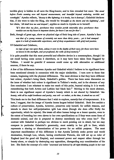terrible glory is hidden to all save the Ring-bearer, and to him revealed but once: 'She stood before Frodo seeming now tall beyond measurement, and beautlfol beyond enduring, tenible and worshipful.' Ayesha reflects, 'Beauty is like lightning; it is lovely, but it destroys'; Galadriel declares that, if she were to take the Ring, she would be 'Dreadful as the Storm and the Lightning', and her claim, 'All shall love me and despair', applies as much to Ayesha as to herself:

"If I show thee my face, perchance thou wouldst perish miserably also; perchance thou wouldst eat out thy heart in impotent desire; for know I am not for thee".

Both, though of great age, show no physical sign of their long tale of years. Ayesha's face was that of a young woman of certainly not more than thirty years... yet it had stamped upon it a look of unutterable experience, and of deep acquaintance with grief and passion.

Of Galadriel and Celeborn,

I' •

no sign of age was upon them, unless it were in the depths of their eyes; for these were keen as lances in the starlight, and yet profound, the wells of deep memory.<sup>4</sup>

It is quite possible that this most powerful and effective device is a commonplace, though I do not recall having come across it elsewhere, so it may have been taken from Haggard by Tolkien. I would be grateful if someone could come up with alternative or additional sources, if there be any.

A few of the differences between Ayesha and Galadriel which I believe to be significant have been mentioned already in connexion with the major similarities. I turn now to those that remain, beginning with the physical differences. The most obvious is that they have different hair colour, Ayesha's being black, Galadriel's golden. There has been some discussion on the issue of whether hair colour is significant in Tolkien's works, and in the absence of any firm conclusion I am reluctant to make too much of this point, beyond raising it: it is worth remembering that both Arwen and Luthien had black hair.<sup>5</sup> Moving to the more abstract, there is one significant aspect of Ayesha's beauty which is not shared by Galadriel: 'this beauty, with all its awful loveliness and purity, was evil - or rather, at the time, it struck me as evil.'

This leads me to the final difference that I wish to explore, namely that of temperament. It is here, I suggest, that the image of Ayesha looms largest behind Galadriel. Both live amidst a culture of preservation; Ayesha, however, preserves only herself, for selfish reasons, and intends to share her self-perpetuation with Leo alone (though she does offer Holly the opportunity, which he rejects). She treats all other human beings as a lesser species, even to the extent of breeding her own slaves to her own specifications as if they were some form of domestic animal, and she is prepared to destroy mercilessly any who cross her.6 The contrast with Galadriel is perhaps too obvious to merit pointing out in detail, but we may compare in particular Galadriel's generosity, most notably in her gift to Sam, which represents a sharing or dissemination of her power for no selfish purpose. The most important manifestation of this difference is that Ayesha � actively seeks power and world domination, through Leo, whom, having overthrown Victoria, she will set up as ruler of England (and the good old Empire), and command power and respect either through her beauty alone, or simply by destroying any opposition, disregarding any consideration of the law. She finds the concept of a ruler 'venerated and beloved by all right-thinking people in her vast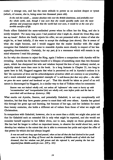realms' a strange one, and has the same attitude to power as an ancient despot or tyrant (which, of course, she is, being some two thousand years old).

In the end she would ... assume absolute rule over the British dominions, and probably over the whole earth, and, though I was sure that she would speedily make ours the most glorious and prosperous empire that the world had ever seen, it would be at the cost of a terrible sacrifice of life.

Frodo offers Galadriel the same-unlimited power when he offers her the Ring, and she is sorely tempted: 'For many long years I had pondered what I might do, should the Great Ring come into my hands' . Before she finally rejects his offer, we are presented with a vision of what she might be, at least initially, if she were to accept the challenge (see above). She is aware of what she might become, and I would suggest that the reader familiar with She might recognise that Galadriel would come to resemble Ayesha more closely in respect of her less appealing characteristics. Certainly, for my part, �t is a resonance which will remain in my mind whenever I read this passage.

As for why she chooses to reject the Ring, again I believe a comparison with Ayesha will be revealing. Ayesha has the dubious benefit of a lifespan of-something more than two thousand years, which has sharpened her wits and wisdom beyond the ken of any ordinary mortal, as explicitly stated more than once in the book. In a long footnote in Chapter 21, too long to quote here in full, Haggard suggests that what is perceived as evil in Ayesha 's actions is in fact 'the expression of views and the acknowledgement of motives which are contrary to our preaching', and a much extended and exaggerated example of 'a well-known fact that very often ... the older we grow the more cynical and hardened we get'. That this should be taken as proof of an evil nature is discouraged by Haggard, in a similar way to that of Tolkien when he comments:

Sauron was not indeed wholly evil, not unless all 'reformers' who want to hurry up with 'reconstruction' and 'reorganization'(sic) are wholly evil, even before pride and the lust to exert their will eat them up. (Letters p. 190)

What marks out Ayesha, Sauron, and potentially Galadriel, is not any exceptionally evil intention, but that they have greater power to exert their will over others. Ayesha has gained this through her great age and learning, but because of her age, and her isolation for more than twenty centuries, she holds a different set of values from those of what we might call Christendom.

In comparison with Galadriel, however, she is no more than a child; we might also point out that for Galadriel such an extended life is only what might be expected, and she would not consider herself superior to her fellow elves, nor to men, simply on those grounds alone. She has had far longer to reflect on important issues, to observe the world about her, and to develop her wisdom to the extent that she is able to overcome her pride and reject the offer of that power for which she had always longed:

It was not until two long ages had passed, when at last all that she had desired in her youth came to her hand, the Ring of Power and the dominion of Middle-earth of which she had dreamed, that her wisdom was full grown and she rejected it, and passing the last test departed from Middle-earth for ever.  $(UTp. 231)$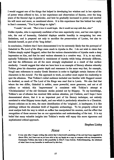I would suggest one of the things that helped in developing her wisdom and in her rejection of power when offered to her, is her experience and observation of Sauron, over the long years of the Second Age in particular, and how he gradually increased in power and exerted his will more and more, as mentioned above. It is this experience that lies behind her reply to Sam's comment, "You'd put things to rights":

#### "I would," she said. "That is how it would begin. But it would not stop with that, alas!"

Unlike Ayesha, who is supremely confident of her own superiority over, and her own right to rule, the rest of humanity, Galadriel displays notable humility in recognising her own limitations, and is prepared not only to sacrifice the preservation of Lorien, but also to diminish herself, as part of the 'long defeat'.

In conclusion, I believe that I have demonstrated it to be extremely likely that the portrayal of Galadriel in The Lord of the Rings owes much to Ayesha in She. I do not wish to claim that Tolkien simply copied Haggard; rather that the various characteristics of Ayesha made a deep impression on him, and that he used various elements in a creative way. It is, to my mind, typically Tolkienian that Galadriel is reminiscent of Ayesha while being obviously different, and that the differences are all the more strongly emphasized as a result of that surface similarity. I would suggest that what we have here is an example of literary allusion whereby Tolkien gives his characters greater depth and resonance in the same way that, for example, Vergil uses references to sundry Greek literature in order to highlight certain features of the characters in the  $Aeneid$ . For this approach to work, an author must expect his readership to spot the allusions. That Tolkien's initial audience included one familiar with Haggard cannot be doubted, as much of The Lord of the Rings was read first to Lewis. We also find that where the two differ, Galadricl is nobler, more powerful, more generous, and not at all callous or wicked; this 'improvement' is consistent with Tolkien's attempt at 'Christianisation' of the old Germanic stories pointed out by Shippey. To my knowledge, Tolkien's use of allusion has received little serious attention, yet I believe, and I hope I have demonstrated above, that it is an important part of his literary technique, not entirely unrelated to what Shippey terms depth, and one which is particularly attractive to a Classicist. Source criticism on its own, the mere identification of the 'originals', is inadequate; it is like philology without the attendant thrill of linguistic archaeology. To be properly critical we must analyse both the way in which an author has manipulated his sources, and the effect that recognition of those sources has on our appreciation and understanding of the text. It is my belief that many valuable insights into Tolkien's works will repay this more rigourous and sophisticated critical approach.

## Stephen Linley

### **Notes**

(I) It was only after I began writing this article that I discovered something of the sort had been auggested in Amon Hen, but I have not as yet been able to lay my bands on a copy to compare with my interpretation. Christopher Tolkien also hints at this possibility in  $BolT$  2 (see below). Nothwithstanding, the substance of what I have to say hereafter is unaffected by this fact.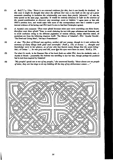- (2) cf. BoLT 2 p. 329n: 'There is no external evidence for this, but it can hanlly be doubted. In this case it might be thought that since the African Kor was a city built on the top of a great mountain standing in isolation the relationship was more than purely 'phonetic'.' ef. also the letter quoted on the same page, especially: 'It would be entirely delusory to refer to the sources of the sound-combination to discover any meanings overt or hidden.' I agree more or less with JRRT<sup>e</sup> position here, and would make little more of this correspondence save that I consider it good internal evidence of his having read  $She$  (and it's nice to find that Christopher agrees).
- (3) cf. Ayeeha'a own comment: 'Thou wast afraid because mine eyes were searching out thine hean, there fore wast thou afraid. "Note: to avoid cluttering the text with page references and footnotes, and to avoid confusion owing to the different pagination of various editions, unless otherwise stated, all quotations are from the following chapters: LotR: 'The Mirror of Galadriel';  $She$ : 'Ayesha Unveils', 'The Dead and Living Meet', 'Job has a Presentiment'.
- (4) cf. also: 'The face of Elrond was ageless, neither old nor young, though in it was written the memory of many things both glad and sorrowful.' FotR p. 218; of Arwen: '... thought and knowledge were in her glance, as of one who has known many things that the years bring.' ibid.; of Cirdan: '... he was grey and old, save that his eyes were keen as stars.' RotK p. 274.
- (5) For what it's worth, in the Hammer film of the book (both are called  $She$ , there the similarity ends...), Ayesha is blonde - presumably Ms Andress was unwilling to dye her hair, though perhaps the producer bad in turn been inopired by Galadriell
- (6) "My people! speak not to me of my people, • she answend hastily; "these slaves are no people of mine, they are but dogs to do my bidding till the day of my deliverance comes  $\ldots$ .



 $\overline{\phantom{a}}$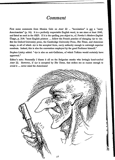## **Comment**

First some comments from Monica Gale on Anor 22  $\ldots$  "heroization" is not a "nasty Amcricanizm" (p. 16). It is a perfectly respectable English word, in use since at least 1840, and listed as such in the OED. If it is the spelling you object to, cf. Fowler's Modern English Usage, p. 314: "most English printers ... follow the French practice of changing -ize to -ise. But the Oxford University press, the Cambridge University Press, The Times, and American usage, in all of which -ize is the accepted form, carry authority enough to outweigh superior numbers. Indeed, this is also the convention employed by the good Professor himself."

Stcphcn Linlcy added: "-ize is also an anti-Gallicism, of which Tolkicn would certainly have approved."

Editor's note: Personally 1 blame it all on the Bulgarian monks who lovingly hand-crafted Anor 22. However, if  $-ize$  is accepted by The Times, that strikes me as reason enough to avoid it ... never mind the Americans!

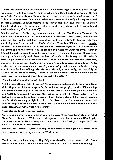Monica also comments on my comments on the comments page in Anor 22 (that's enough 'comments' - Ed.). She writes: "in your reflections on different kinds of heroism (p. 18) you remark that 'the main theme of heroism in the classical or epic mode is moral (to do good).' This is not quite accurate. In fact, a classical hero is such by virtue of (military) prowess and success in general, and divine parentage or ancestry in particular. The concept of the 'moral' hero to which you refer arose much later, associated in particular with Christianity and mediaeval chivalry (Sir Gawain etal.)"

Monica continues: "finally, congratulations on your article on The Fionavar Tapestry! It's about time someone pointed out just how much Kay 'borrowed' from Tolkien, instead of just eulogizing him as the best thing since sliced lembas ... I have to disagree with your concluding remarks on the value of Kay's imitation. There is a difference between creative imitation and mere pastiche, and in my view The Fionavar Tapestry is little more than a patchwork of elements derived from Tolkien and from Celtic and Authurian myth. Although I found it tolerably enjoyable to read, I cannot regard it as a work of any great literary merit, although it is certainly well above the level of much of the fantasy and SF which is increasingly churned out on both sides of the Atlantic. Of course, such matters are inevitably subjective, but in my view, Kay's lack of originality can only be regarded as a defect. As far as the current pre-occupation with mythology as a background or source, this kind of thing can of course be done well (eg. Alan Gamer or Geoff Ryman) or badly, but is certainly not essential to the writing of fantasy. Indeed, it can far too easily serve as a substitute for the lack of real imagination and creativity on the part of the author."

(Well, that set off a good argument - Ed.)

And that wasn't the only letter I received! To demonstrate that not only do the jokes in Bored of the Rings mean different things to English and American people, but also different things to different Americans, Nancy Martsch of California writes: "the writers [of How Bored Can You Get?] have apparently confused the *Andrea Doria* with the Marie Celeste. ... The Andrea Doria was an Italian luxury passenger liner which collided with the Swedish merchant ship Stockholm on a foggy night in 1956 ... the disaster created a sensation because both ships were equipped with the latest in radio, radar etc and were in communication with each other. Neither ship would yield right of way!"

Nancy also points out some minor errors:

"Barbisol is a shaving cream ... Pismo is also the name of the (very large) clam, for which Pismo Beach is famous ... Wetback was a derogatory term for Mexicans in the USA illegally, it was not applied to those crossing the St. Lawrence ... the Black jazz singer was Eartha Kilts- Zasu Pitts was a white actress!"

However, she concludes; "James and Stephen had plenty of moxie [guts or courage] to do this -I wouldn't even attempt a glossary of English slang!

Thanks to everyone for writing in. Hopefully there should be enough controversial points in Steve's articles in this issue to fill the comments page next time ... so keep them coming!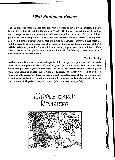# 1990 Puntmoot Report

The Puntmoot happened on June 16th last year, preceded as usual by an Innmoot, this time held in the traditional hostelry *The Ancient Druids*. On the day, everything went much as usual, except that only one person (the ex-Steward) went into the water. Everyone, I think, got well fed and drunk; the bizarre rule-less cross between rounders, cricket, and any other game you'd care to mention was played; and it was also Lawrence Percival's first encounter with the majority of us wierdos (excluding those to whom he had been introduced at the TS AGM). When we got back a few who felt they hadn 'l got quite drunk enough finished off the left-over booze on Sheep's Green and then tried to drink  $The$  Mill dry. I don't remember if this attempt was successful or not.

#### **Stephen Linley**

Author's note: If you arc somewhat disappointed that this year's report is not quite up to the standard or promptness of those of previous years (Sec for example Anor 6), how about volunteering to write it yourself next time? I'm fed up with writing reports, I want to get on with some academic articles, but I always gel lumbered 'cos nobody else can be bothered. This is also the reason why there has been no feast report this year. If Anor is to continue as a worthwhile publication, it must show itself able to survive without the collected thoughts and memoirs of King/Galc/Linlcy/McLarcn. (My sentiments exactly - Ed.)

# ffirOOLE EARtb REVISICEO